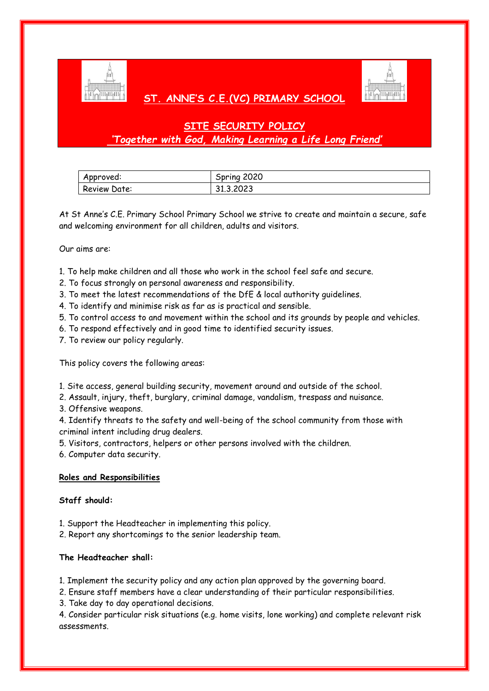

## **ST. ANNE'S C.E.(VC) PRIMARY SCHOOL**



# **SITE SECURITY POLICY** *'Together with God, Making Learning a Life Long Friend'*

| Approved:    | Spring 2020 |
|--------------|-------------|
| Review Date: | 31.3.2023   |

At St Anne's C.E. Primary School Primary School we strive to create and maintain a secure, safe and welcoming environment for all children, adults and visitors.

Our aims are:

1. To help make children and all those who work in the school feel safe and secure.

- 2. To focus strongly on personal awareness and responsibility.
- 3. To meet the latest recommendations of the DfE & local authority guidelines.
- 4. To identify and minimise risk as far as is practical and sensible.
- 5. To control access to and movement within the school and its grounds by people and vehicles.
- 6. To respond effectively and in good time to identified security issues.
- 7. To review our policy regularly.

This policy covers the following areas:

- 1. Site access, general building security, movement around and outside of the school.
- 2. Assault, injury, theft, burglary, criminal damage, vandalism, trespass and nuisance.
- 3. Offensive weapons.

4. Identify threats to the safety and well-being of the school community from those with criminal intent including drug dealers.

5. Visitors, contractors, helpers or other persons involved with the children.

6. Computer data security.

### **Roles and Responsibilities**

### **Staff should:**

- 1. Support the Headteacher in implementing this policy.
- 2. Report any shortcomings to the senior leadership team.

### **The Headteacher shall:**

1. Implement the security policy and any action plan approved by the governing board.

2. Ensure staff members have a clear understanding of their particular responsibilities.

3. Take day to day operational decisions.

4. Consider particular risk situations (e.g. home visits, lone working) and complete relevant risk assessments.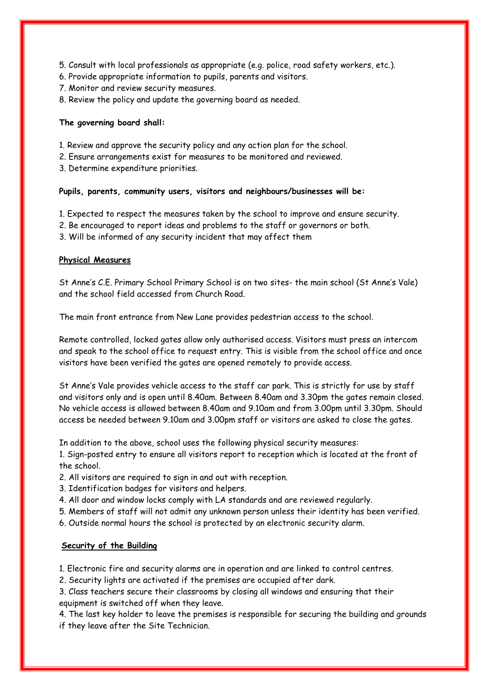- 5. Consult with local professionals as appropriate (e.g. police, road safety workers, etc.).
- 6. Provide appropriate information to pupils, parents and visitors.
- 7. Monitor and review security measures.
- 8. Review the policy and update the governing board as needed.

### **The governing board shall:**

- 1. Review and approve the security policy and any action plan for the school.
- 2. Ensure arrangements exist for measures to be monitored and reviewed.
- 3. Determine expenditure priorities.

### **Pupils, parents, community users, visitors and neighbours/businesses will be:**

- 1. Expected to respect the measures taken by the school to improve and ensure security.
- 2. Be encouraged to report ideas and problems to the staff or governors or both.
- 3. Will be informed of any security incident that may affect them

### **Physical Measures**

St Anne's C.E. Primary School Primary School is on two sites- the main school (St Anne's Vale) and the school field accessed from Church Road.

The main front entrance from New Lane provides pedestrian access to the school.

Remote controlled, locked gates allow only authorised access. Visitors must press an intercom and speak to the school office to request entry. This is visible from the school office and once visitors have been verified the gates are opened remotely to provide access.

St Anne's Vale provides vehicle access to the staff car park. This is strictly for use by staff and visitors only and is open until 8.40am. Between 8.40am and 3.30pm the gates remain closed. No vehicle access is allowed between 8.40am and 9.10am and from 3.00pm until 3.30pm. Should access be needed between 9.10am and 3.00pm staff or visitors are asked to close the gates.

In addition to the above, school uses the following physical security measures:

1. Sign-posted entry to ensure all visitors report to reception which is located at the front of the school.

- 2. All visitors are required to sign in and out with reception.
- 3. Identification badges for visitors and helpers.
- 4. All door and window locks comply with LA standards and are reviewed regularly.
- 5. Members of staff will not admit any unknown person unless their identity has been verified.
- 6. Outside normal hours the school is protected by an electronic security alarm.

### **Security of the Building**

1. Electronic fire and security alarms are in operation and are linked to control centres.

2. Security lights are activated if the premises are occupied after dark.

3. Class teachers secure their classrooms by closing all windows and ensuring that their equipment is switched off when they leave.

4. The last key holder to leave the premises is responsible for securing the building and grounds if they leave after the Site Technician.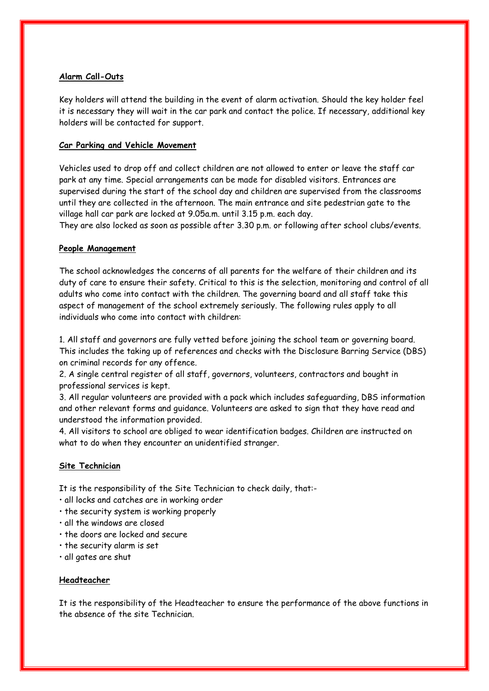### **Alarm Call-Outs**

Key holders will attend the building in the event of alarm activation. Should the key holder feel it is necessary they will wait in the car park and contact the police. If necessary, additional key holders will be contacted for support.

### **Car Parking and Vehicle Movement**

Vehicles used to drop off and collect children are not allowed to enter or leave the staff car park at any time. Special arrangements can be made for disabled visitors. Entrances are supervised during the start of the school day and children are supervised from the classrooms until they are collected in the afternoon. The main entrance and site pedestrian gate to the village hall car park are locked at 9.05a.m. until 3.15 p.m. each day.

They are also locked as soon as possible after 3.30 p.m. or following after school clubs/events.

### **People Management**

The school acknowledges the concerns of all parents for the welfare of their children and its duty of care to ensure their safety. Critical to this is the selection, monitoring and control of all adults who come into contact with the children. The governing board and all staff take this aspect of management of the school extremely seriously. The following rules apply to all individuals who come into contact with children:

1. All staff and governors are fully vetted before joining the school team or governing board. This includes the taking up of references and checks with the Disclosure Barring Service (DBS) on criminal records for any offence.

2. A single central register of all staff, governors, volunteers, contractors and bought in professional services is kept.

3. All regular volunteers are provided with a pack which includes safeguarding, DBS information and other relevant forms and guidance. Volunteers are asked to sign that they have read and understood the information provided.

4. All visitors to school are obliged to wear identification badges. Children are instructed on what to do when they encounter an unidentified stranger.

### **Site Technician**

It is the responsibility of the Site Technician to check daily, that:-

- all locks and catches are in working order
- the security system is working properly
- all the windows are closed
- the doors are locked and secure
- the security alarm is set
- all gates are shut

### **Headteacher**

It is the responsibility of the Headteacher to ensure the performance of the above functions in the absence of the site Technician.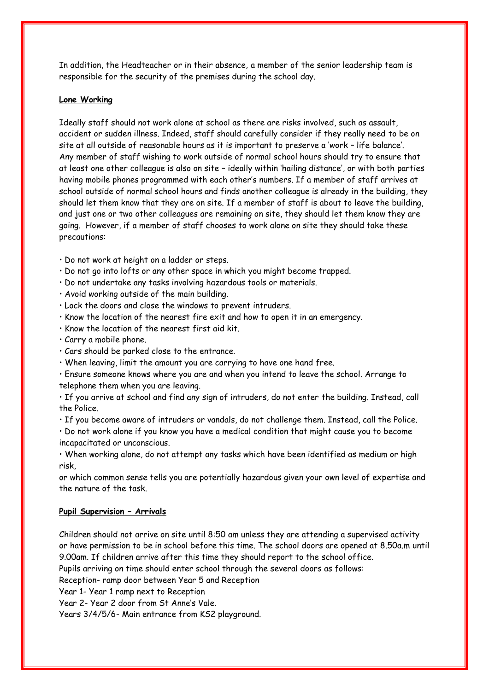In addition, the Headteacher or in their absence, a member of the senior leadership team is responsible for the security of the premises during the school day.

#### **Lone Working**

Ideally staff should not work alone at school as there are risks involved, such as assault, accident or sudden illness. Indeed, staff should carefully consider if they really need to be on site at all outside of reasonable hours as it is important to preserve a 'work – life balance'. Any member of staff wishing to work outside of normal school hours should try to ensure that at least one other colleague is also on site – ideally within 'hailing distance', or with both parties having mobile phones programmed with each other's numbers. If a member of staff arrives at school outside of normal school hours and finds another colleague is already in the building, they should let them know that they are on site. If a member of staff is about to leave the building, and just one or two other colleagues are remaining on site, they should let them know they are going. However, if a member of staff chooses to work alone on site they should take these precautions:

- Do not work at height on a ladder or steps.
- Do not go into lofts or any other space in which you might become trapped.
- Do not undertake any tasks involving hazardous tools or materials.
- Avoid working outside of the main building.
- Lock the doors and close the windows to prevent intruders.
- Know the location of the nearest fire exit and how to open it in an emergency.
- Know the location of the nearest first aid kit.
- Carry a mobile phone.
- Cars should be parked close to the entrance.
- When leaving, limit the amount you are carrying to have one hand free.
- Ensure someone knows where you are and when you intend to leave the school. Arrange to telephone them when you are leaving.
- If you arrive at school and find any sign of intruders, do not enter the building. Instead, call the Police.
- If you become aware of intruders or vandals, do not challenge them. Instead, call the Police.
- Do not work alone if you know you have a medical condition that might cause you to become incapacitated or unconscious.
- When working alone, do not attempt any tasks which have been identified as medium or high risk,

or which common sense tells you are potentially hazardous given your own level of expertise and the nature of the task.

#### **Pupil Supervision – Arrivals**

Children should not arrive on site until 8:50 am unless they are attending a supervised activity or have permission to be in school before this time. The school doors are opened at 8.50a.m until 9.00am. If children arrive after this time they should report to the school office.

Pupils arriving on time should enter school through the several doors as follows:

Reception- ramp door between Year 5 and Reception

Year 1- Year 1 ramp next to Reception

Year 2- Year 2 door from St Anne's Vale.

Years 3/4/5/6- Main entrance from KS2 playground.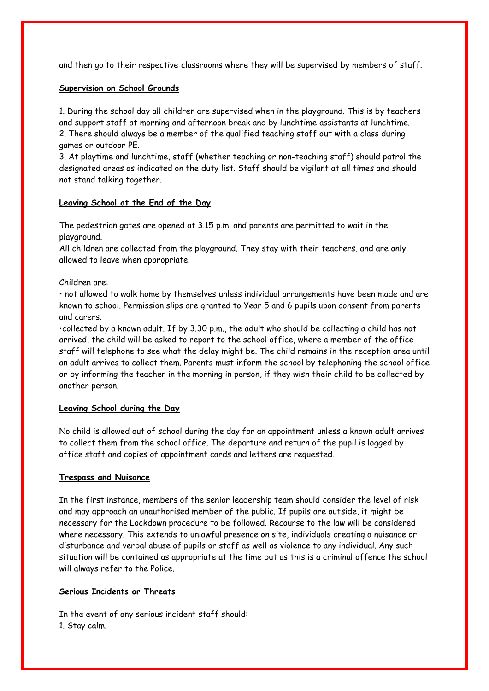and then go to their respective classrooms where they will be supervised by members of staff.

### **Supervision on School Grounds**

1. During the school day all children are supervised when in the playground. This is by teachers and support staff at morning and afternoon break and by lunchtime assistants at lunchtime. 2. There should always be a member of the qualified teaching staff out with a class during games or outdoor PE.

3. At playtime and lunchtime, staff (whether teaching or non-teaching staff) should patrol the designated areas as indicated on the duty list. Staff should be vigilant at all times and should not stand talking together.

### **Leaving School at the End of the Day**

The pedestrian gates are opened at 3.15 p.m. and parents are permitted to wait in the playground.

All children are collected from the playground. They stay with their teachers, and are only allowed to leave when appropriate.

### Children are:

• not allowed to walk home by themselves unless individual arrangements have been made and are known to school. Permission slips are granted to Year 5 and 6 pupils upon consent from parents and carers.

•collected by a known adult. If by 3.30 p.m., the adult who should be collecting a child has not arrived, the child will be asked to report to the school office, where a member of the office staff will telephone to see what the delay might be. The child remains in the reception area until an adult arrives to collect them. Parents must inform the school by telephoning the school office or by informing the teacher in the morning in person, if they wish their child to be collected by another person.

### **Leaving School during the Day**

No child is allowed out of school during the day for an appointment unless a known adult arrives to collect them from the school office. The departure and return of the pupil is logged by office staff and copies of appointment cards and letters are requested.

### **Trespass and Nuisance**

In the first instance, members of the senior leadership team should consider the level of risk and may approach an unauthorised member of the public. If pupils are outside, it might be necessary for the Lockdown procedure to be followed. Recourse to the law will be considered where necessary. This extends to unlawful presence on site, individuals creating a nuisance or disturbance and verbal abuse of pupils or staff as well as violence to any individual. Any such situation will be contained as appropriate at the time but as this is a criminal offence the school will always refer to the Police.

### **Serious Incidents or Threats**

In the event of any serious incident staff should: 1. Stay calm.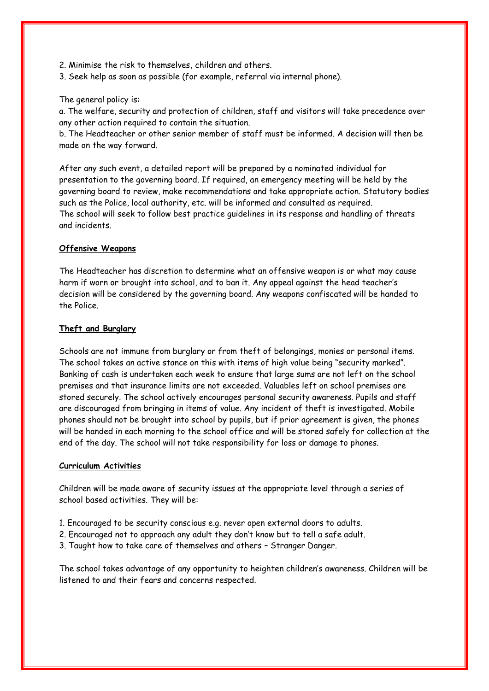- 2. Minimise the risk to themselves, children and others.
- 3. Seek help as soon as possible (for example, referral via internal phone).

The general policy is:

a. The welfare, security and protection of children, staff and visitors will take precedence over any other action required to contain the situation.

b. The Headteacher or other senior member of staff must be informed. A decision will then be made on the way forward.

After any such event, a detailed report will be prepared by a nominated individual for presentation to the governing board. If required, an emergency meeting will be held by the governing board to review, make recommendations and take appropriate action. Statutory bodies such as the Police, local authority, etc. will be informed and consulted as required. The school will seek to follow best practice guidelines in its response and handling of threats and incidents.

### **Offensive Weapons**

The Headteacher has discretion to determine what an offensive weapon is or what may cause harm if worn or brought into school, and to ban it. Any appeal against the head teacher's decision will be considered by the governing board. Any weapons confiscated will be handed to the Police.

### **Theft and Burglary**

Schools are not immune from burglary or from theft of belongings, monies or personal items. The school takes an active stance on this with items of high value being "security marked". Banking of cash is undertaken each week to ensure that large sums are not left on the school premises and that insurance limits are not exceeded. Valuables left on school premises are stored securely. The school actively encourages personal security awareness. Pupils and staff are discouraged from bringing in items of value. Any incident of theft is investigated. Mobile phones should not be brought into school by pupils, but if prior agreement is given, the phones will be handed in each morning to the school office and will be stored safely for collection at the end of the day. The school will not take responsibility for loss or damage to phones.

### **Curriculum Activities**

Children will be made aware of security issues at the appropriate level through a series of school based activities. They will be:

- 1. Encouraged to be security conscious e.g. never open external doors to adults.
- 2. Encouraged not to approach any adult they don't know but to tell a safe adult.
- 3. Taught how to take care of themselves and others Stranger Danger.

The school takes advantage of any opportunity to heighten children's awareness. Children will be listened to and their fears and concerns respected.